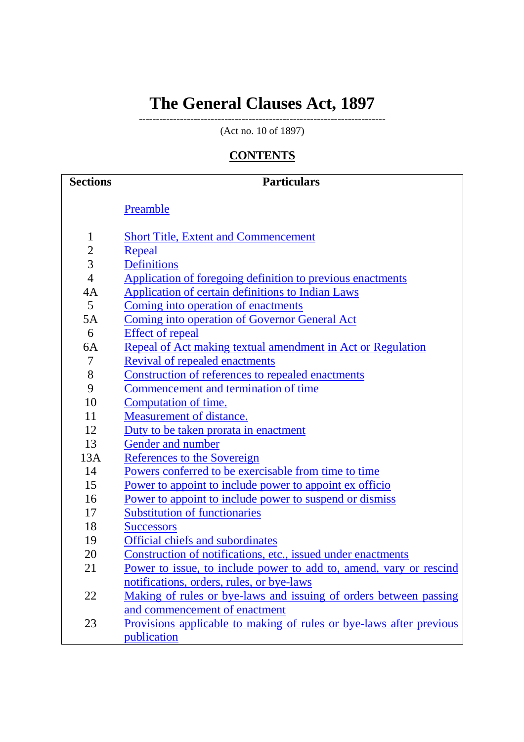# **The General Clauses Act, 1897**

------------------------------------------------------------------------ (Act no. 10 of 1897)

# **CONTENTS**

| <b>Sections</b> | <b>Particulars</b>                                                         |
|-----------------|----------------------------------------------------------------------------|
|                 | Preamble                                                                   |
|                 |                                                                            |
| $\mathbf{1}$    | <b>Short Title, Extent and Commencement</b>                                |
| $\overline{c}$  | Repeal                                                                     |
| 3               | <b>Definitions</b>                                                         |
| $\overline{4}$  | Application of foregoing definition to previous enactments                 |
| 4A              | <b>Application of certain definitions to Indian Laws</b>                   |
| 5 <sup>5</sup>  | Coming into operation of enactments                                        |
| 5A              | Coming into operation of Governor General Act                              |
| 6               | <b>Effect of repeal</b>                                                    |
| 6A              | Repeal of Act making textual amendment in Act or Regulation                |
| 7               | <b>Revival of repealed enactments</b>                                      |
| 8               | Construction of references to repealed enactments                          |
| 9               | Commencement and termination of time                                       |
| 10              | Computation of time.                                                       |
| 11              | Measurement of distance.                                                   |
| 12              | Duty to be taken prorata in enactment                                      |
| 13              | Gender and number                                                          |
| 13A             | References to the Sovereign                                                |
| 14              | Powers conferred to be exercisable from time to time                       |
| 15              | Power to appoint to include power to appoint ex officio                    |
| 16              | Power to appoint to include power to suspend or dismiss                    |
| 17              | <b>Substitution of functionaries</b>                                       |
| 18              | <b>Successors</b>                                                          |
| 19              | Official chiefs and subordinates                                           |
| 20              | Construction of notifications, etc., issued under enactments               |
| 21              | <u>Power to issue, to include power to add to, amend, vary or rescind</u>  |
|                 | notifications, orders, rules, or bye-laws                                  |
| 22              | Making of rules or bye-laws and issuing of orders between passing          |
|                 | and commencement of enactment                                              |
| 23              | <u>Provisions applicable to making of rules or bye-laws after previous</u> |
|                 | publication                                                                |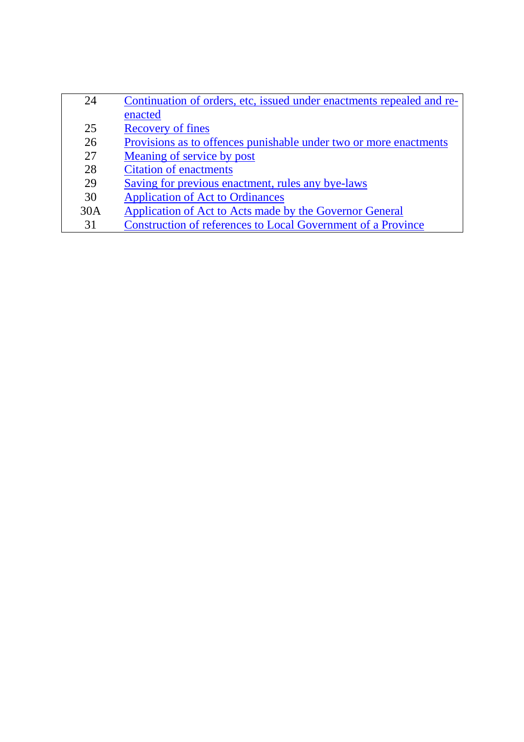| 24  | Continuation of orders, etc, issued under enactments repealed and re- |
|-----|-----------------------------------------------------------------------|
|     | enacted                                                               |
| 25  | <b>Recovery of fines</b>                                              |
| 26  | Provisions as to offences punishable under two or more enactments     |
| 27  | Meaning of service by post                                            |
| 28  | <b>Citation of enactments</b>                                         |
| 29  | Saving for previous enactment, rules any bye-laws                     |
| 30  | <b>Application of Act to Ordinances</b>                               |
| 30A | Application of Act to Acts made by the Governor General               |
| 31  | Construction of references to Local Government of a Province          |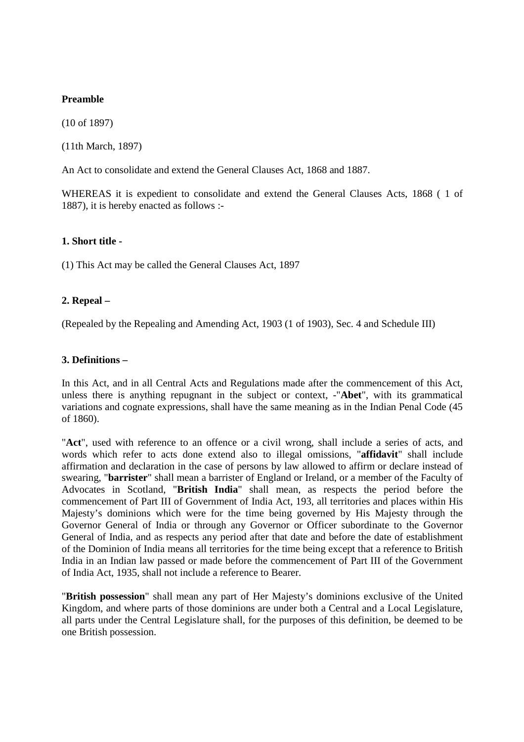# **Preamble**

(10 of 1897)

(11th March, 1897)

An Act to consolidate and extend the General Clauses Act, 1868 and 1887.

WHEREAS it is expedient to consolidate and extend the General Clauses Acts, 1868 ( 1 of 1887), it is hereby enacted as follows :-

#### **1. Short title -**

(1) This Act may be called the General Clauses Act, 1897

#### **2. Repeal –**

(Repealed by the Repealing and Amending Act, 1903 (1 of 1903), Sec. 4 and Schedule III)

#### **3. Definitions –**

In this Act, and in all Central Acts and Regulations made after the commencement of this Act, unless there is anything repugnant in the subject or context, -"**Abet**", with its grammatical variations and cognate expressions, shall have the same meaning as in the Indian Penal Code (45 of 1860).

"**Act**", used with reference to an offence or a civil wrong, shall include a series of acts, and words which refer to acts done extend also to illegal omissions, "**affidavit**" shall include affirmation and declaration in the case of persons by law allowed to affirm or declare instead of swearing, "**barrister**" shall mean a barrister of England or Ireland, or a member of the Faculty of Advocates in Scotland, "**British India**" shall mean, as respects the period before the commencement of Part III of Government of India Act, 193, all territories and places within His Majesty's dominions which were for the time being governed by His Majesty through the Governor General of India or through any Governor or Officer subordinate to the Governor General of India, and as respects any period after that date and before the date of establishment of the Dominion of India means all territories for the time being except that a reference to British India in an Indian law passed or made before the commencement of Part III of the Government of India Act, 1935, shall not include a reference to Bearer.

"**British possession**" shall mean any part of Her Majesty's dominions exclusive of the United Kingdom, and where parts of those dominions are under both a Central and a Local Legislature, all parts under the Central Legislature shall, for the purposes of this definition, be deemed to be one British possession.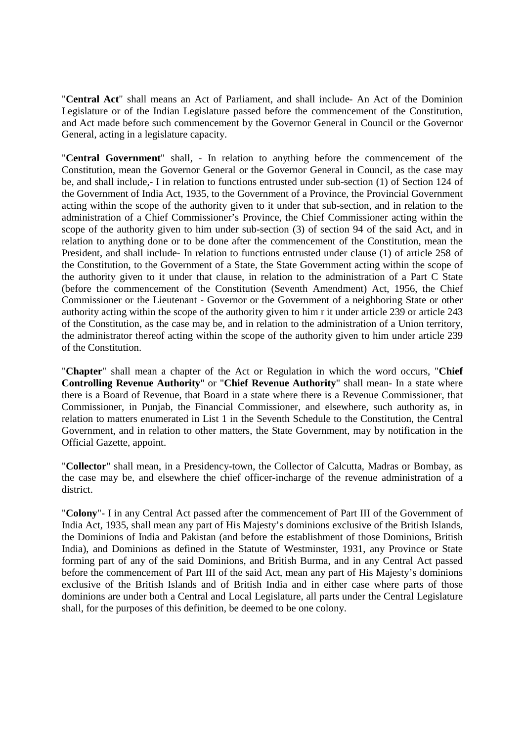"**Central Act**" shall means an Act of Parliament, and shall include- An Act of the Dominion Legislature or of the Indian Legislature passed before the commencement of the Constitution, and Act made before such commencement by the Governor General in Council or the Governor General, acting in a legislature capacity.

"**Central Government**" shall, - In relation to anything before the commencement of the Constitution, mean the Governor General or the Governor General in Council, as the case may be, and shall include,- I in relation to functions entrusted under sub-section (1) of Section 124 of the Government of India Act, 1935, to the Government of a Province, the Provincial Government acting within the scope of the authority given to it under that sub-section, and in relation to the administration of a Chief Commissioner's Province, the Chief Commissioner acting within the scope of the authority given to him under sub-section (3) of section 94 of the said Act, and in relation to anything done or to be done after the commencement of the Constitution, mean the President, and shall include- In relation to functions entrusted under clause (1) of article 258 of the Constitution, to the Government of a State, the State Government acting within the scope of the authority given to it under that clause, in relation to the administration of a Part C State (before the commencement of the Constitution (Seventh Amendment) Act, 1956, the Chief Commissioner or the Lieutenant - Governor or the Government of a neighboring State or other authority acting within the scope of the authority given to him r it under article 239 or article 243 of the Constitution, as the case may be, and in relation to the administration of a Union territory, the administrator thereof acting within the scope of the authority given to him under article 239 of the Constitution.

"**Chapter**" shall mean a chapter of the Act or Regulation in which the word occurs, "**Chief Controlling Revenue Authority**" or "**Chief Revenue Authority**" shall mean- In a state where there is a Board of Revenue, that Board in a state where there is a Revenue Commissioner, that Commissioner, in Punjab, the Financial Commissioner, and elsewhere, such authority as, in relation to matters enumerated in List 1 in the Seventh Schedule to the Constitution, the Central Government, and in relation to other matters, the State Government, may by notification in the Official Gazette, appoint.

"**Collector**" shall mean, in a Presidency-town, the Collector of Calcutta, Madras or Bombay, as the case may be, and elsewhere the chief officer-incharge of the revenue administration of a district.

"**Colony**"- I in any Central Act passed after the commencement of Part III of the Government of India Act, 1935, shall mean any part of His Majesty's dominions exclusive of the British Islands, the Dominions of India and Pakistan (and before the establishment of those Dominions, British India), and Dominions as defined in the Statute of Westminster, 1931, any Province or State forming part of any of the said Dominions, and British Burma, and in any Central Act passed before the commencement of Part III of the said Act, mean any part of His Majesty's dominions exclusive of the British Islands and of British India and in either case where parts of those dominions are under both a Central and Local Legislature, all parts under the Central Legislature shall, for the purposes of this definition, be deemed to be one colony.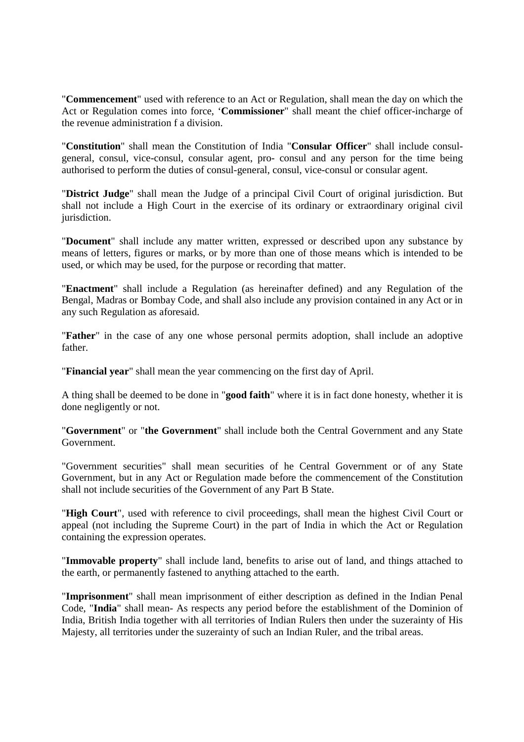"**Commencement**" used with reference to an Act or Regulation, shall mean the day on which the Act or Regulation comes into force, '**Commissioner**" shall meant the chief officer-incharge of the revenue administration f a division.

"**Constitution**" shall mean the Constitution of India "**Consular Officer**" shall include consulgeneral, consul, vice-consul, consular agent, pro- consul and any person for the time being authorised to perform the duties of consul-general, consul, vice-consul or consular agent.

"**District Judge**" shall mean the Judge of a principal Civil Court of original jurisdiction. But shall not include a High Court in the exercise of its ordinary or extraordinary original civil jurisdiction.

"**Document**" shall include any matter written, expressed or described upon any substance by means of letters, figures or marks, or by more than one of those means which is intended to be used, or which may be used, for the purpose or recording that matter.

"**Enactment**" shall include a Regulation (as hereinafter defined) and any Regulation of the Bengal, Madras or Bombay Code, and shall also include any provision contained in any Act or in any such Regulation as aforesaid.

"**Father**" in the case of any one whose personal permits adoption, shall include an adoptive father.

"**Financial year**" shall mean the year commencing on the first day of April.

A thing shall be deemed to be done in "**good faith**" where it is in fact done honesty, whether it is done negligently or not.

"**Government**" or "**the Government**" shall include both the Central Government and any State Government.

"Government securities" shall mean securities of he Central Government or of any State Government, but in any Act or Regulation made before the commencement of the Constitution shall not include securities of the Government of any Part B State.

"**High Court**", used with reference to civil proceedings, shall mean the highest Civil Court or appeal (not including the Supreme Court) in the part of India in which the Act or Regulation containing the expression operates.

"**Immovable property**" shall include land, benefits to arise out of land, and things attached to the earth, or permanently fastened to anything attached to the earth.

"**Imprisonment**" shall mean imprisonment of either description as defined in the Indian Penal Code, "**India**" shall mean- As respects any period before the establishment of the Dominion of India, British India together with all territories of Indian Rulers then under the suzerainty of His Majesty, all territories under the suzerainty of such an Indian Ruler, and the tribal areas.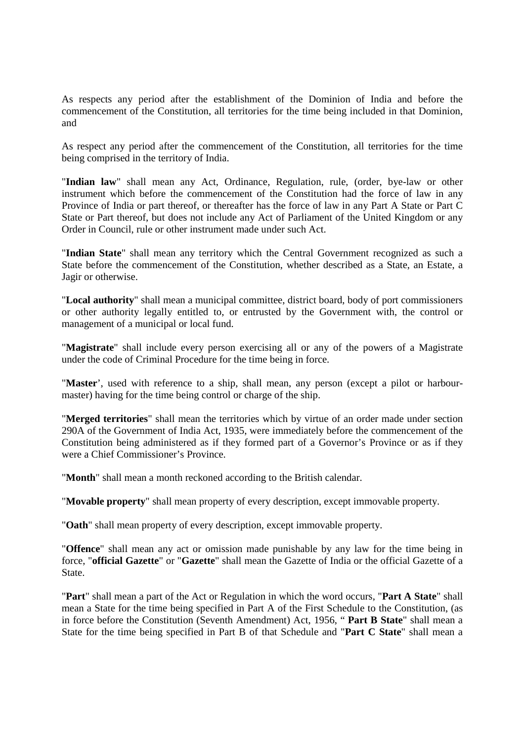As respects any period after the establishment of the Dominion of India and before the commencement of the Constitution, all territories for the time being included in that Dominion, and

As respect any period after the commencement of the Constitution, all territories for the time being comprised in the territory of India.

"**Indian law**" shall mean any Act, Ordinance, Regulation, rule, (order, bye-law or other instrument which before the commencement of the Constitution had the force of law in any Province of India or part thereof, or thereafter has the force of law in any Part A State or Part C State or Part thereof, but does not include any Act of Parliament of the United Kingdom or any Order in Council, rule or other instrument made under such Act.

"**Indian State**" shall mean any territory which the Central Government recognized as such a State before the commencement of the Constitution, whether described as a State, an Estate, a Jagir or otherwise.

"**Local authority**" shall mean a municipal committee, district board, body of port commissioners or other authority legally entitled to, or entrusted by the Government with, the control or management of a municipal or local fund.

"**Magistrate**" shall include every person exercising all or any of the powers of a Magistrate under the code of Criminal Procedure for the time being in force.

"**Master**', used with reference to a ship, shall mean, any person (except a pilot or harbourmaster) having for the time being control or charge of the ship.

"**Merged territories**" shall mean the territories which by virtue of an order made under section 290A of the Government of India Act, 1935, were immediately before the commencement of the Constitution being administered as if they formed part of a Governor's Province or as if they were a Chief Commissioner's Province.

"**Month**" shall mean a month reckoned according to the British calendar.

"**Movable property**" shall mean property of every description, except immovable property.

"**Oath**" shall mean property of every description, except immovable property.

"**Offence**" shall mean any act or omission made punishable by any law for the time being in force, "**official Gazette**" or "**Gazette**" shall mean the Gazette of India or the official Gazette of a State.

"**Part**" shall mean a part of the Act or Regulation in which the word occurs, "**Part A State**" shall mean a State for the time being specified in Part A of the First Schedule to the Constitution, (as in force before the Constitution (Seventh Amendment) Act, 1956, " **Part B State**" shall mean a State for the time being specified in Part B of that Schedule and "**Part C State**" shall mean a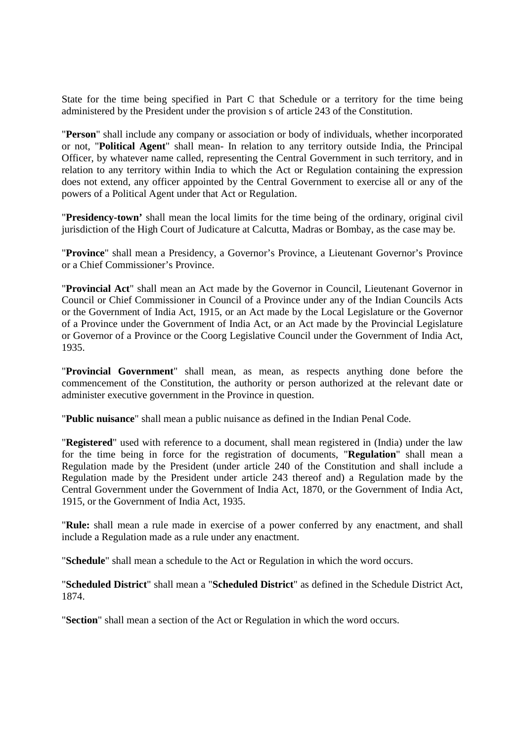State for the time being specified in Part C that Schedule or a territory for the time being administered by the President under the provision s of article 243 of the Constitution.

"**Person**" shall include any company or association or body of individuals, whether incorporated or not, "**Political Agent**" shall mean- In relation to any territory outside India, the Principal Officer, by whatever name called, representing the Central Government in such territory, and in relation to any territory within India to which the Act or Regulation containing the expression does not extend, any officer appointed by the Central Government to exercise all or any of the powers of a Political Agent under that Act or Regulation.

"**Presidency-town'** shall mean the local limits for the time being of the ordinary, original civil jurisdiction of the High Court of Judicature at Calcutta, Madras or Bombay, as the case may be.

"**Province**" shall mean a Presidency, a Governor's Province, a Lieutenant Governor's Province or a Chief Commissioner's Province.

"**Provincial Act**" shall mean an Act made by the Governor in Council, Lieutenant Governor in Council or Chief Commissioner in Council of a Province under any of the Indian Councils Acts or the Government of India Act, 1915, or an Act made by the Local Legislature or the Governor of a Province under the Government of India Act, or an Act made by the Provincial Legislature or Governor of a Province or the Coorg Legislative Council under the Government of India Act, 1935.

"**Provincial Government**" shall mean, as mean, as respects anything done before the commencement of the Constitution, the authority or person authorized at the relevant date or administer executive government in the Province in question.

"**Public nuisance**" shall mean a public nuisance as defined in the Indian Penal Code.

"**Registered**" used with reference to a document, shall mean registered in (India) under the law for the time being in force for the registration of documents, "**Regulation**" shall mean a Regulation made by the President (under article 240 of the Constitution and shall include a Regulation made by the President under article 243 thereof and) a Regulation made by the Central Government under the Government of India Act, 1870, or the Government of India Act, 1915, or the Government of India Act, 1935.

"**Rule:** shall mean a rule made in exercise of a power conferred by any enactment, and shall include a Regulation made as a rule under any enactment.

"**Schedule**" shall mean a schedule to the Act or Regulation in which the word occurs.

"**Scheduled District**" shall mean a "**Scheduled District**" as defined in the Schedule District Act, 1874.

"**Section**" shall mean a section of the Act or Regulation in which the word occurs.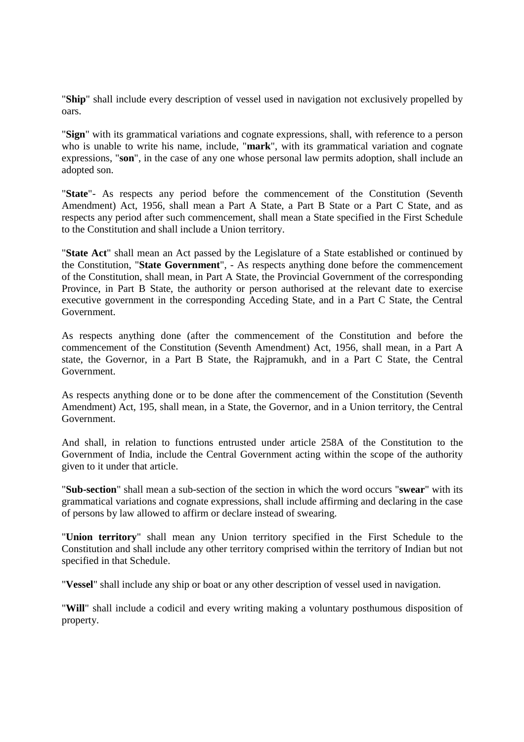"**Ship**" shall include every description of vessel used in navigation not exclusively propelled by oars.

"**Sign**" with its grammatical variations and cognate expressions, shall, with reference to a person who is unable to write his name, include, "**mark**", with its grammatical variation and cognate expressions, "**son**", in the case of any one whose personal law permits adoption, shall include an adopted son.

"**State**"- As respects any period before the commencement of the Constitution (Seventh Amendment) Act, 1956, shall mean a Part A State, a Part B State or a Part C State, and as respects any period after such commencement, shall mean a State specified in the First Schedule to the Constitution and shall include a Union territory.

"**State Act**" shall mean an Act passed by the Legislature of a State established or continued by the Constitution, "**State Government**", - As respects anything done before the commencement of the Constitution, shall mean, in Part A State, the Provincial Government of the corresponding Province, in Part B State, the authority or person authorised at the relevant date to exercise executive government in the corresponding Acceding State, and in a Part C State, the Central Government.

As respects anything done (after the commencement of the Constitution and before the commencement of the Constitution (Seventh Amendment) Act, 1956, shall mean, in a Part A state, the Governor, in a Part B State, the Rajpramukh, and in a Part C State, the Central Government.

As respects anything done or to be done after the commencement of the Constitution (Seventh Amendment) Act, 195, shall mean, in a State, the Governor, and in a Union territory, the Central Government.

And shall, in relation to functions entrusted under article 258A of the Constitution to the Government of India, include the Central Government acting within the scope of the authority given to it under that article.

"**Sub-section**" shall mean a sub-section of the section in which the word occurs "**swear**" with its grammatical variations and cognate expressions, shall include affirming and declaring in the case of persons by law allowed to affirm or declare instead of swearing.

"**Union territory**" shall mean any Union territory specified in the First Schedule to the Constitution and shall include any other territory comprised within the territory of Indian but not specified in that Schedule.

"**Vessel**" shall include any ship or boat or any other description of vessel used in navigation.

"**Will**" shall include a codicil and every writing making a voluntary posthumous disposition of property.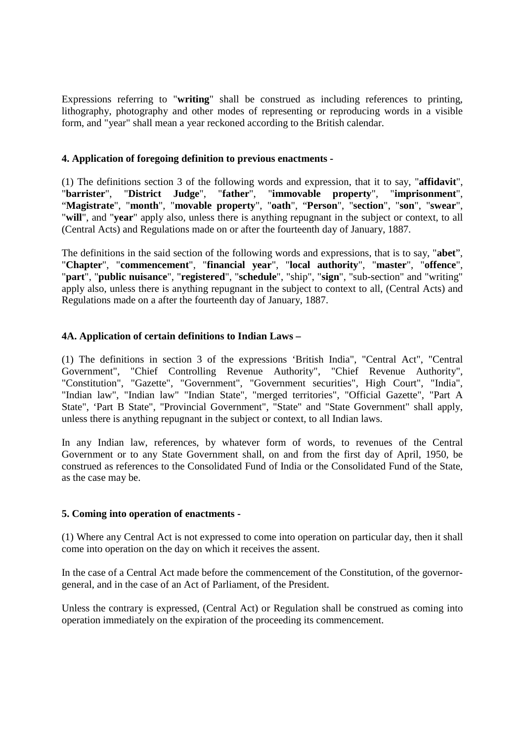Expressions referring to "**writing**" shall be construed as including references to printing, lithography, photography and other modes of representing or reproducing words in a visible form, and "year" shall mean a year reckoned according to the British calendar.

# **4. Application of foregoing definition to previous enactments -**

(1) The definitions section 3 of the following words and expression, that it to say, "**affidavit**", "**barrister**", "**District Judge**", "**father**", "**immovable property**", "**imprisonment**", "**Magistrate**", "**month**", "**movable property**", "**oath**", "**Person**", "**section**", "**son**", "**swear**", "**will**", and "**year**" apply also, unless there is anything repugnant in the subject or context, to all (Central Acts) and Regulations made on or after the fourteenth day of January, 1887.

The definitions in the said section of the following words and expressions, that is to say, "**abet**", "**Chapter**", "**commencement**", "**financial year**", "**local authority**", "**master**", "**offence**", "**part**", "**public nuisance**", "**registered**", "**schedule**", "ship", "**sign**", "sub-section" and "writing" apply also, unless there is anything repugnant in the subject to context to all, (Central Acts) and Regulations made on a after the fourteenth day of January, 1887.

# **4A. Application of certain definitions to Indian Laws –**

(1) The definitions in section 3 of the expressions 'British India", "Central Act", "Central Government", "Chief Controlling Revenue Authority", "Chief Revenue Authority", "Constitution", "Gazette", "Government", "Government securities", High Court", "India", "Indian law", "Indian law" "Indian State", "merged territories", "Official Gazette", "Part A State", 'Part B State", "Provincial Government", "State" and "State Government" shall apply, unless there is anything repugnant in the subject or context, to all Indian laws.

In any Indian law, references, by whatever form of words, to revenues of the Central Government or to any State Government shall, on and from the first day of April, 1950, be construed as references to the Consolidated Fund of India or the Consolidated Fund of the State, as the case may be.

# **5. Coming into operation of enactments -**

(1) Where any Central Act is not expressed to come into operation on particular day, then it shall come into operation on the day on which it receives the assent.

In the case of a Central Act made before the commencement of the Constitution, of the governorgeneral, and in the case of an Act of Parliament, of the President.

Unless the contrary is expressed, (Central Act) or Regulation shall be construed as coming into operation immediately on the expiration of the proceeding its commencement.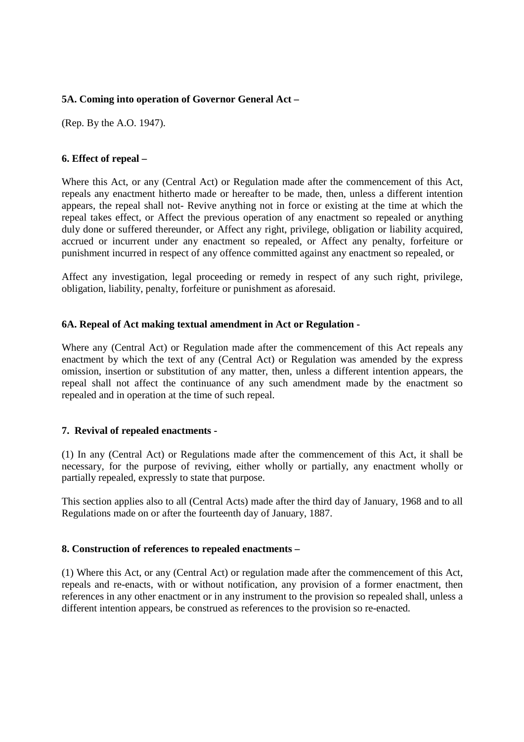# **5A. Coming into operation of Governor General Act –**

(Rep. By the A.O. 1947).

### **6. Effect of repeal –**

Where this Act, or any (Central Act) or Regulation made after the commencement of this Act, repeals any enactment hitherto made or hereafter to be made, then, unless a different intention appears, the repeal shall not- Revive anything not in force or existing at the time at which the repeal takes effect, or Affect the previous operation of any enactment so repealed or anything duly done or suffered thereunder, or Affect any right, privilege, obligation or liability acquired, accrued or incurrent under any enactment so repealed, or Affect any penalty, forfeiture or punishment incurred in respect of any offence committed against any enactment so repealed, or

Affect any investigation, legal proceeding or remedy in respect of any such right, privilege, obligation, liability, penalty, forfeiture or punishment as aforesaid.

#### **6A. Repeal of Act making textual amendment in Act or Regulation -**

Where any (Central Act) or Regulation made after the commencement of this Act repeals any enactment by which the text of any (Central Act) or Regulation was amended by the express omission, insertion or substitution of any matter, then, unless a different intention appears, the repeal shall not affect the continuance of any such amendment made by the enactment so repealed and in operation at the time of such repeal.

#### **7. Revival of repealed enactments -**

(1) In any (Central Act) or Regulations made after the commencement of this Act, it shall be necessary, for the purpose of reviving, either wholly or partially, any enactment wholly or partially repealed, expressly to state that purpose.

This section applies also to all (Central Acts) made after the third day of January, 1968 and to all Regulations made on or after the fourteenth day of January, 1887.

# **8. Construction of references to repealed enactments –**

(1) Where this Act, or any (Central Act) or regulation made after the commencement of this Act, repeals and re-enacts, with or without notification, any provision of a former enactment, then references in any other enactment or in any instrument to the provision so repealed shall, unless a different intention appears, be construed as references to the provision so re-enacted.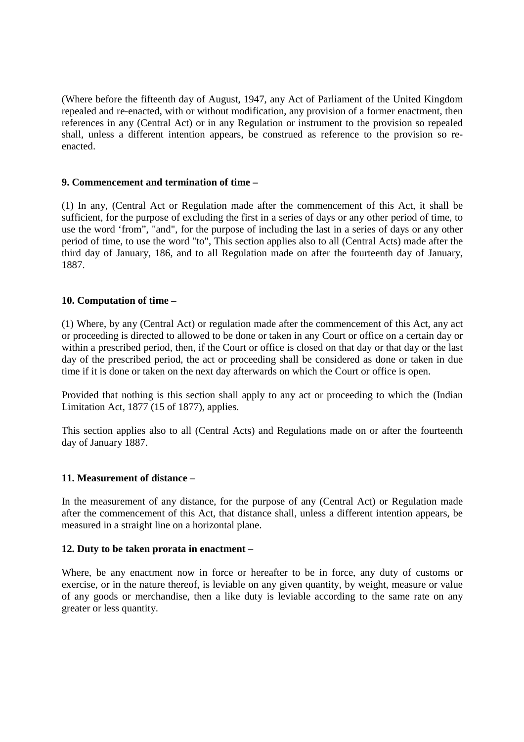(Where before the fifteenth day of August, 1947, any Act of Parliament of the United Kingdom repealed and re-enacted, with or without modification, any provision of a former enactment, then references in any (Central Act) or in any Regulation or instrument to the provision so repealed shall, unless a different intention appears, be construed as reference to the provision so reenacted.

# **9. Commencement and termination of time –**

(1) In any, (Central Act or Regulation made after the commencement of this Act, it shall be sufficient, for the purpose of excluding the first in a series of days or any other period of time, to use the word 'from", "and", for the purpose of including the last in a series of days or any other period of time, to use the word "to", This section applies also to all (Central Acts) made after the third day of January, 186, and to all Regulation made on after the fourteenth day of January, 1887.

# **10. Computation of time –**

(1) Where, by any (Central Act) or regulation made after the commencement of this Act, any act or proceeding is directed to allowed to be done or taken in any Court or office on a certain day or within a prescribed period, then, if the Court or office is closed on that day or that day or the last day of the prescribed period, the act or proceeding shall be considered as done or taken in due time if it is done or taken on the next day afterwards on which the Court or office is open.

Provided that nothing is this section shall apply to any act or proceeding to which the (Indian Limitation Act, 1877 (15 of 1877), applies.

This section applies also to all (Central Acts) and Regulations made on or after the fourteenth day of January 1887.

# **11. Measurement of distance –**

In the measurement of any distance, for the purpose of any (Central Act) or Regulation made after the commencement of this Act, that distance shall, unless a different intention appears, be measured in a straight line on a horizontal plane.

# **12. Duty to be taken prorata in enactment –**

Where, be any enactment now in force or hereafter to be in force, any duty of customs or exercise, or in the nature thereof, is leviable on any given quantity, by weight, measure or value of any goods or merchandise, then a like duty is leviable according to the same rate on any greater or less quantity.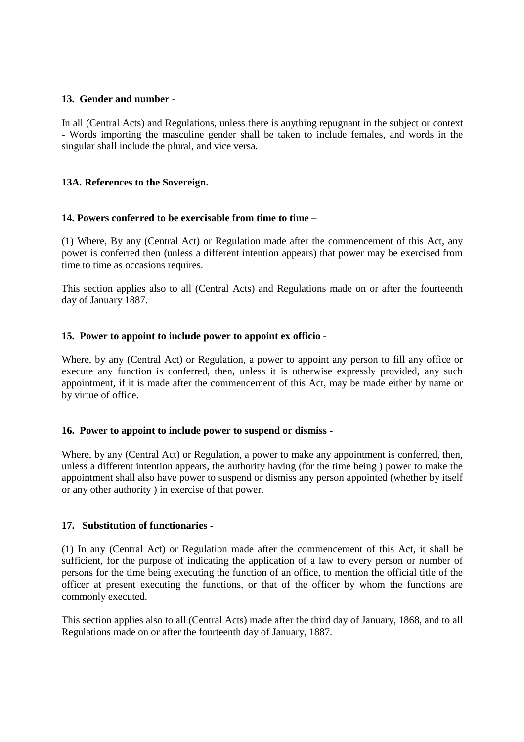### **13. Gender and number -**

In all (Central Acts) and Regulations, unless there is anything repugnant in the subject or context - Words importing the masculine gender shall be taken to include females, and words in the singular shall include the plural, and vice versa.

#### **13A. References to the Sovereign.**

#### **14. Powers conferred to be exercisable from time to time –**

(1) Where, By any (Central Act) or Regulation made after the commencement of this Act, any power is conferred then (unless a different intention appears) that power may be exercised from time to time as occasions requires.

This section applies also to all (Central Acts) and Regulations made on or after the fourteenth day of January 1887.

#### **15. Power to appoint to include power to appoint ex officio -**

Where, by any (Central Act) or Regulation, a power to appoint any person to fill any office or execute any function is conferred, then, unless it is otherwise expressly provided, any such appointment, if it is made after the commencement of this Act, may be made either by name or by virtue of office.

#### **16. Power to appoint to include power to suspend or dismiss -**

Where, by any (Central Act) or Regulation, a power to make any appointment is conferred, then, unless a different intention appears, the authority having (for the time being ) power to make the appointment shall also have power to suspend or dismiss any person appointed (whether by itself or any other authority ) in exercise of that power.

#### **17. Substitution of functionaries -**

(1) In any (Central Act) or Regulation made after the commencement of this Act, it shall be sufficient, for the purpose of indicating the application of a law to every person or number of persons for the time being executing the function of an office, to mention the official title of the officer at present executing the functions, or that of the officer by whom the functions are commonly executed.

This section applies also to all (Central Acts) made after the third day of January, 1868, and to all Regulations made on or after the fourteenth day of January, 1887.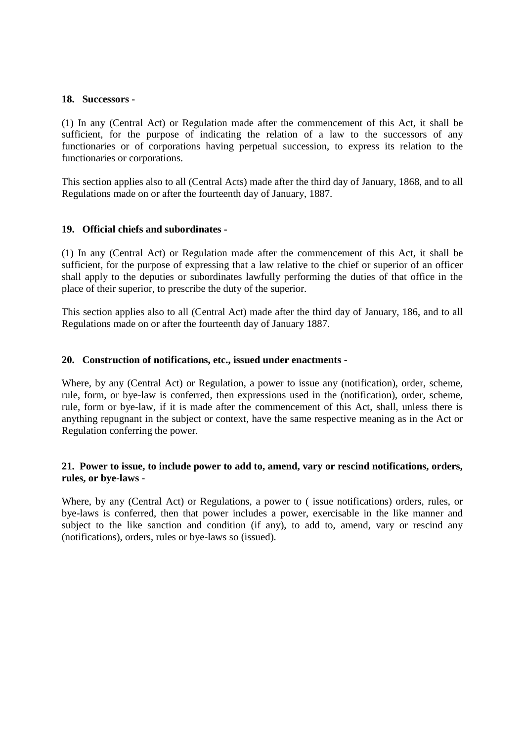#### **18. Successors -**

(1) In any (Central Act) or Regulation made after the commencement of this Act, it shall be sufficient, for the purpose of indicating the relation of a law to the successors of any functionaries or of corporations having perpetual succession, to express its relation to the functionaries or corporations.

This section applies also to all (Central Acts) made after the third day of January, 1868, and to all Regulations made on or after the fourteenth day of January, 1887.

#### **19. Official chiefs and subordinates -**

(1) In any (Central Act) or Regulation made after the commencement of this Act, it shall be sufficient, for the purpose of expressing that a law relative to the chief or superior of an officer shall apply to the deputies or subordinates lawfully performing the duties of that office in the place of their superior, to prescribe the duty of the superior.

This section applies also to all (Central Act) made after the third day of January, 186, and to all Regulations made on or after the fourteenth day of January 1887.

#### **20. Construction of notifications, etc., issued under enactments -**

Where, by any (Central Act) or Regulation, a power to issue any (notification), order, scheme, rule, form, or bye-law is conferred, then expressions used in the (notification), order, scheme, rule, form or bye-law, if it is made after the commencement of this Act, shall, unless there is anything repugnant in the subject or context, have the same respective meaning as in the Act or Regulation conferring the power.

# **21. Power to issue, to include power to add to, amend, vary or rescind notifications, orders, rules, or bye-laws -**

Where, by any (Central Act) or Regulations, a power to ( issue notifications) orders, rules, or bye-laws is conferred, then that power includes a power, exercisable in the like manner and subject to the like sanction and condition (if any), to add to, amend, vary or rescind any (notifications), orders, rules or bye-laws so (issued).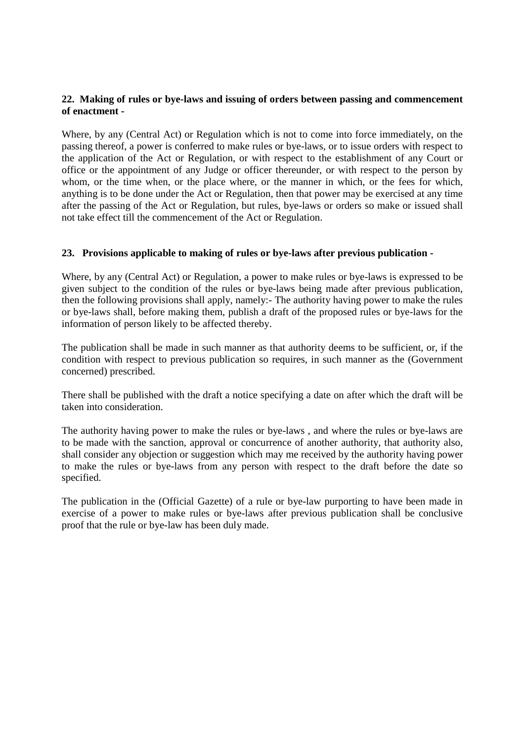# **22. Making of rules or bye-laws and issuing of orders between passing and commencement of enactment -**

Where, by any (Central Act) or Regulation which is not to come into force immediately, on the passing thereof, a power is conferred to make rules or bye-laws, or to issue orders with respect to the application of the Act or Regulation, or with respect to the establishment of any Court or office or the appointment of any Judge or officer thereunder, or with respect to the person by whom, or the time when, or the place where, or the manner in which, or the fees for which, anything is to be done under the Act or Regulation, then that power may be exercised at any time after the passing of the Act or Regulation, but rules, bye-laws or orders so make or issued shall not take effect till the commencement of the Act or Regulation.

# **23. Provisions applicable to making of rules or bye-laws after previous publication -**

Where, by any (Central Act) or Regulation, a power to make rules or bye-laws is expressed to be given subject to the condition of the rules or bye-laws being made after previous publication, then the following provisions shall apply, namely:- The authority having power to make the rules or bye-laws shall, before making them, publish a draft of the proposed rules or bye-laws for the information of person likely to be affected thereby.

The publication shall be made in such manner as that authority deems to be sufficient, or, if the condition with respect to previous publication so requires, in such manner as the (Government concerned) prescribed.

There shall be published with the draft a notice specifying a date on after which the draft will be taken into consideration.

The authority having power to make the rules or bye-laws , and where the rules or bye-laws are to be made with the sanction, approval or concurrence of another authority, that authority also, shall consider any objection or suggestion which may me received by the authority having power to make the rules or bye-laws from any person with respect to the draft before the date so specified.

The publication in the (Official Gazette) of a rule or bye-law purporting to have been made in exercise of a power to make rules or bye-laws after previous publication shall be conclusive proof that the rule or bye-law has been duly made.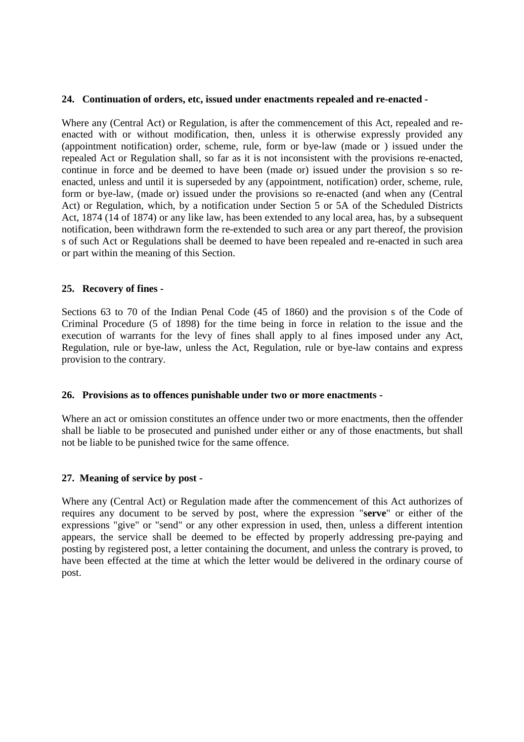### **24. Continuation of orders, etc, issued under enactments repealed and re-enacted -**

Where any (Central Act) or Regulation, is after the commencement of this Act, repealed and reenacted with or without modification, then, unless it is otherwise expressly provided any (appointment notification) order, scheme, rule, form or bye-law (made or ) issued under the repealed Act or Regulation shall, so far as it is not inconsistent with the provisions re-enacted, continue in force and be deemed to have been (made or) issued under the provision s so reenacted, unless and until it is superseded by any (appointment, notification) order, scheme, rule, form or bye-law, (made or) issued under the provisions so re-enacted (and when any (Central Act) or Regulation, which, by a notification under Section 5 or 5A of the Scheduled Districts Act, 1874 (14 of 1874) or any like law, has been extended to any local area, has, by a subsequent notification, been withdrawn form the re-extended to such area or any part thereof, the provision s of such Act or Regulations shall be deemed to have been repealed and re-enacted in such area or part within the meaning of this Section.

#### **25. Recovery of fines -**

Sections 63 to 70 of the Indian Penal Code (45 of 1860) and the provision s of the Code of Criminal Procedure (5 of 1898) for the time being in force in relation to the issue and the execution of warrants for the levy of fines shall apply to al fines imposed under any Act, Regulation, rule or bye-law, unless the Act, Regulation, rule or bye-law contains and express provision to the contrary.

#### **26. Provisions as to offences punishable under two or more enactments -**

Where an act or omission constitutes an offence under two or more enactments, then the offender shall be liable to be prosecuted and punished under either or any of those enactments, but shall not be liable to be punished twice for the same offence.

# **27. Meaning of service by post -**

Where any (Central Act) or Regulation made after the commencement of this Act authorizes of requires any document to be served by post, where the expression "**serve**" or either of the expressions "give" or "send" or any other expression in used, then, unless a different intention appears, the service shall be deemed to be effected by properly addressing pre-paying and posting by registered post, a letter containing the document, and unless the contrary is proved, to have been effected at the time at which the letter would be delivered in the ordinary course of post.